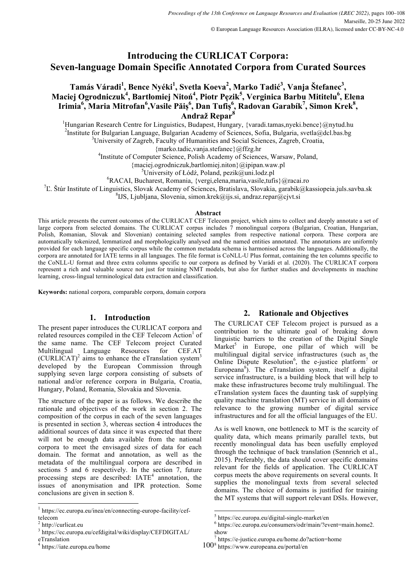# **Introducing the CURLICAT Corpora: Seven-language Domain Specific Annotated Corpora from Curated Sources**

## $\text{Tamás Váradi}^1\text{,} \text{Bence Nyéki}^1\text{, Svetla Koeva}^2\text{,} \text{Marko Tadić}^3\text{,} \text{Vanja Štefanec}^3\text{,}$ **Maciej Ogrodniczuk<sup>4</sup> , Bartłomiej Nitoń<sup>4</sup> , Piotr Pęzik<sup>5</sup> , Verginica Barbu Mititelu<sup>6</sup> , Elena Irimia<sup>6</sup> , Maria Mitrofan<sup>6</sup> ,Vasile Păiș 6 , Dan Tufiș 6 , Radovan Garabík<sup>7</sup> , Simon Krek<sup>8</sup> , Andraž Repar8**

<sup>1</sup>Hungarian Research Centre for Linguistics, Budapest, Hungary, {varadi.tamas,nyeki.bence}@nytud.hu<br><sup>2</sup>Institute for Bulgarian Language, Bulgarian Academy of Sciences, Sofie, Bulgaria, syste@del.hec.hg <sup>2</sup>Institute for Bulgarian Language, Bulgarian Academy of Sciences, Sofia, Bulgaria, svetla@dcl.bas.bg <sup>3</sup>University of Zagreb, Faculty of Humanities and Social Sciences, Zagreb, Croatia,

{marko.tadic,vanja.stefanec}@ffzg.hr <sup>4</sup> Institute of Computer Science, Polish Academy of Sciences, Warsaw, Poland,

 ${maciei. ogrodniczuk, barlomiej.niton}@ipipan.waw.pl$ 

<sup>5</sup>University of Łódź, Poland, pezik@uni.lodz.pl

 ${}^{6}$ RACAI, Bucharest, Romania, {vergi, elena, maria, vasile, tufis}@racai.ro

<sup>7</sup>L. Štúr Institute of Linguistics, Slovak Academy of Sciences, Bratislava, Slovakia, garabik@kassiopeia.juls.savba.sk

<sup>8</sup>IJS, Ljubljana, Slovenia, simon.krek@ijs.si, andraz.repar@cjvt.si

#### **Abstract**

This article presents the current outcomes of the CURLICAT CEF Telecom project, which aims to collect and deeply annotate a set of large corpora from selected domains. The CURLICAT corpus includes 7 monolingual corpora (Bulgarian, Croatian, Hungarian, Polish, Romanian, Slovak and Slovenian) containing selected samples from respective national corpora. These corpora are automatically tokenized, lemmatized and morphologically analysed and the named entities annotated. The annotations are uniformly provided for each language specific corpus while the common metadata schema is harmonised across the languages. Additionally, the corpora are annotated for IATE terms in all languages. The file format is CoNLL-U Plus format, containing the ten columns specific to the CoNLL-U format and three extra columns specific to our corpora as defined by Varádi et al. (2020). The CURLICAT corpora represent a rich and valuable source not just for training NMT models, but also for further studies and developments in machine learning, cross-lingual terminological data extraction and classification.

**Keywords:** national corpora, comparable corpora, domain corpora

## **1. Introduction**

The present paper introduces the CURLICAT corpora and related resources compiled in the CEF Telecom Action<sup>1</sup> of the same name. The CEF Telecom project Curated Multilingual Language Resources for CEF.AT  $(CURLICAT)^2$  aims to enhance the eTranslation system<sup>3</sup> developed by the European Commission through supplying seven large corpora consisting of subsets of national and/or reference corpora in Bulgaria, Croatia, Hungary, Poland, Romania, Slovakia and Slovenia.

The structure of the paper is as follows. We describe the rationale and objectives of the work in section 2. The composition of the corpus in each of the seven languages is presented in section 3, whereas section 4 introduces the additional sources of data since it was expected that there will not be enough data available from the national corpora to meet the envisaged sizes of data for each domain. The format and annotation, as well as the metadata of the multilingual corpora are described in sections 5 and 6 respectively. In the section 7, future processing steps are described:  $IATE<sup>4</sup>$  annotation, the issues of anonymisation and IPR protection. Some conclusions are given in section 8.

https://iate.europa.eu/home

## **2. Rationale and Objectives**

The CURLICAT CEF Telecom project is pursued as a contribution to the ultimate goal of breaking down linguistic barriers to the creation of the Digital Single Market<sup>5</sup> in Europe, one pillar of which will be multilingual digital service infrastructures (such as the Online Dispute Resolution<sup>6</sup>, the e-justice platform<sup>7</sup> or Europeana<sup>8</sup>). The eTranslation system, itself a digital service infrastructure, is a building block that will help to make these infrastructures become truly multilingual. The eTranslation system faces the daunting task of supplying quality machine translation (MT) service in all domains of relevance to the growing number of digital service infrastructures and for all the official languages of the EU.

As is well known, one bottleneck to MT is the scarcity of quality data, which means primarily parallel texts, but recently monolingual data has been usefully employed through the technique of back translation (Sennrich et al., 2015). Preferably, the data should cover specific domains relevant for the fields of application. The CURLICAT corpus meets the above requirements on several counts. It supplies the monolingual texts from several selected domains. The choice of domains is justified for training the MT systems that will support relevant DSIs. However,

 <sup>1</sup> https://ec.europa.eu/inea/en/connecting-europe-facility/ceftelecom

<sup>2</sup> http://curlicat.eu

<sup>3</sup> https://ec.europa.eu/cefdigital/wiki/display/CEFDIGITAL/

eTranslation

 $^5$  https://ec.europa.eu/digital-single-market/en  $^6$  https://ec.europa.eu/consumers/odr/main/?event=main.home2. show

<sup>100&</sup>lt;sup>8</sup> https://www.europeana.eu/portal/en https://e-justice.europa.eu/home.do?action=home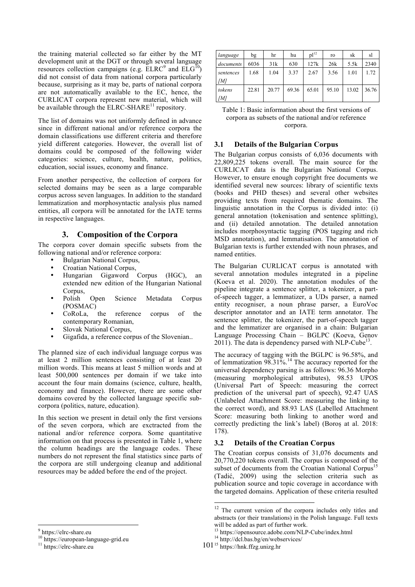the training material collected so far either by the MT development unit at the DGT or through several language resources collection campaigns (e.g.  $\text{ELRC}^9$  and  $\text{ELG}^{10}$ ) did not consist of data from national corpora particularly because, surprising as it may be, parts of national corpora are not automatically available to the EC, hence, the CURLICAT corpora represent new material, which will be available through the  $ELRC-SHARE^{11}$  repository.

The list of domains was not uniformly defined in advance since in different national and/or reference corpora the domain classifications use different criteria and therefore yield different categories. However, the overall list of domains could be composed of the following wider categories: science, culture, health, nature, politics, education, social issues, economy and finance.

From another perspective, the collection of corpora for selected domains may be seen as a large comparable corpus across seven languages. In addition to the standard lemmatization and morphosyntactic analysis plus named entities, all corpora will be annotated for the IATE terms in respective languages.

### **3. Composition of the Corpora**

The corpora cover domain specific subsets from the following national and/or reference corpora:

- Bulgarian National Corpus,
- Croatian National Corpus,
- Hungarian Gigaword Corpus (HGC), an extended new edition of the Hungarian National Corpus,
- Polish Open Science Metadata Corpus (POSMAC)
- CoRoLa, the reference corpus of the contemporary Romanian,
- Slovak National Corpus,
- Gigafida, a reference corpus of the Slovenian...

The planned size of each individual language corpus was at least 2 million sentences consisting of at least 20 million words. This means at least 5 million words and at least 500,000 sentences per domain if we take into account the four main domains (science, culture, health, economy and finance). However, there are some other domains covered by the collected language specific subcorpora (politics, nature, education).

In this section we present in detail only the first versions of the seven corpora, which are exctracted from the national and/or reference corpora. Some quantitative information on that process is presented in Table 1, where the column headings are the language codes. These numbers do not represent the final statistics since parts of the corpora are still undergoing cleanup and additional resources may be added before the end of the project.

| language  | bg    | hr    | hu    | pl <sup>12</sup> | ro    | sk    | sl    |
|-----------|-------|-------|-------|------------------|-------|-------|-------|
| documents | 6036  | 31k   | 630   | 127k             | 26k   | 5.5k  | 2340  |
| sentences | 1.68  | 1.04  | 3.37  | 2.67             | 3.56  | 1.01  | 1.72  |
| ſМl       |       |       |       |                  |       |       |       |
| tokens    | 22.81 | 20.77 | 69.36 | 65.01            | 95.10 | 13.02 | 36.76 |
| [M]       |       |       |       |                  |       |       |       |

Table 1: Basic information about the first versions of corpora as subsets of the national and/or reference corpora.

#### **3.1 Details of the Bulgarian Corpus**

The Bulgarian corpus consists of 6,036 documents with 22,809,225 tokens overall. The main source for the CURLICAT data is the Bulgarian National Corpus. However, to ensure enough copyright free documents we identified several new sources: library of scientific texts (books and PHD theses) and several other websites providing texts from required thematic domains. The linguistic annotation in the Corpus is divided into: (i) general annotation (tokenisation and sentence splitting), and (ii) detailed annotation. The detailed annotation includes morphosyntactic tagging (POS tagging and rich MSD annotation), and lemmatisation. The annotation of Bulgarian texts is further extended with noun phrases, and named entities.

The Bulgarian CURLICAT corpus is annotated with several annotation modules integrated in a pipeline (Koeva et al. 2020). The annotation modules of the pipeline integrate a sentence splitter, a tokenizer, a partof-speech tagger, a lemmatizer, a UDs parser, a named entity recogniser, a noun phrase parser, a EuroVoc descriptor annotator and an IATE term annotator. The sentence splitter, the tokenizer, the part-of-speech tagger and the lemmatizer are organised in a chain: Bulgarian Language Processing Chain – BGLPC (Koeva, Genov  $2011$ ). The data is dependency parsed with NLP-Cube<sup>13</sup>.

The accuracy of tagging with the BGLPC is 96.58%, and of lemmatization 98.31%.<sup>14</sup> The accuracy reported for the universal dependency parsing is as follows: 96.36 Morpho (measuring morphological attributes), 98.53 UPOS (Universal Part of Speech: measuring the correct prediction of the universal part of speech), 92.47 UAS (Unlabeled Attachment Score: measuring the linking to the correct word), and 88.93 LAS (Labelled Attachment Score: measuring both linking to another word and correctly predicting the link's label) (Boroș at al. 2018: 178).

#### **3.2 Details of the Croatian Corpus**

The Croatian corpus consists of 31,076 documents and 20,770,220 tokens overall. The corpus is composed of the subset of documents from the Croatian National Corpus<sup>15</sup> (Tadić, 2009) using the selection criteria such as publication source and topic coverage in accordance with the targeted domains. Application of these criteria resulted

<sup>&</sup>lt;sup>12</sup> The current version of the corpora includes only titles and abstracts (or their translations) in the Polish language. Full texts will be added as part of further work.

<sup>&</sup>lt;sup>13</sup> https://opensource.adobe.com/NLP-Cube/index.html  $14$  http://dcl.bas.bg/en/webservices/

<sup>101&</sup>lt;sup>15</sup> https://hnk.ffzg.unizg.hr

<sup>&</sup>lt;sup>9</sup> https://elrc-share.eu<br><sup>10</sup> https://european-language-grid.eu<br><sup>11</sup> https://elrc-share.eu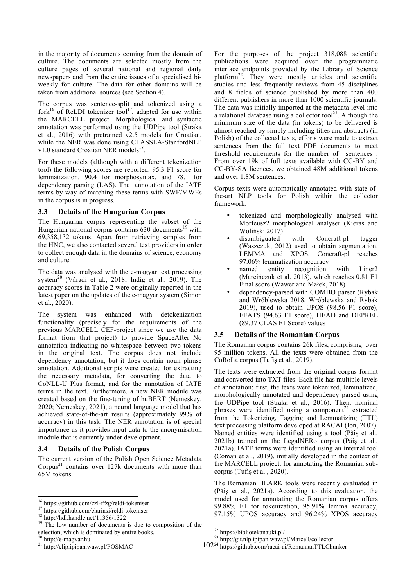in the majority of documents coming from the domain of culture. The documents are selected mostly from the culture pages of several national and regional daily newspapers and from the entire issues of a specialised biweekly for culture. The data for other domains will be taken from additional sources (see Section 4).

The corpus was sentence-split and tokenized using a fork $^{16}$  of ReLDI tokenizer tool<sup>17</sup>, adapted for use within the MARCELL project. Morphological and syntactic annotation was performed using the UDPipe tool (Straka et al., 2016) with pretrained v2.5 models for Croatian, while the NER was done using CLASSLA-StanfordNLP v1.0 standard Croatian NER models<sup>18</sup>

For these models (although with a different tokenization tool) the following scores are reported: 95.3 F1 score for lemmatization, 90.4 for morphosyntax, and 78.1 for dependency parsing (LAS). The annotation of the IATE terms by way of matching these terms with SWE/MWEs in the corpus is in progress.

#### **3.3 Details of the Hungarian Corpus**

The Hungarian corpus representing the subset of the Hungarian national corpus contains  $630$  documents<sup>19</sup> with 69,358,132 tokens. Apart from retrieving samples from the HNC, we also contacted several text providers in order to collect enough data in the domains of science, economy and culture.

The data was analysed with the e-magyar text processing system<sup>20</sup> (Váradi et al., 2018; Indig et al., 2019). The accuracy scores in Table 2 were originally reported in the latest paper on the updates of the e-magyar system (Simon et al., 2020).

The system was enhanced with detokenization functionality (precisely for the requirements of the previous MARCELL CEF-project since we use the data format from that project) to provide SpaceAfter=No annotation indicating no whitespace between two tokens in the original text. The corpus does not include dependency annotation, but it does contain noun phrase annotation. Additional scripts were created for extracting the necessary metadata, for converting the data to CoNLL-U Plus format, and for the annotation of IATE terms in the text. Furthermore, a new NER module was created based on the fine-tuning of huBERT (Nemeskey, 2020; Nemeskey, 2021), a neural language model that has achieved state-of-the-art results (approximately 99% of accuracy) in this task. The NER annotation is of special importance as it provides input data to the anonymisation module that is currently under development.

## **3.4 Details of the Polish Corpus**

The current version of the Polish Open Science Metadata  $Corpus<sup>21</sup> contains over 127k documents with more than$ 65M tokens.

For the purposes of the project 318,088 scientific publications were acquired over the programmatic interface endpoints provided by the Library of Science platform22. They were mostly articles and scientific studies and less frequently reviews from 45 disciplines and 8 fields of science published by more than 400 different publishers in more than 1000 scientific journals. The data was initially imported at the metadata level into a relational database using a collector tool<sup>23</sup>. Although the minimum size of the data (in tokens) to be delivered is almost reached by simply including titles and abstracts (in Polish) of the collected texts, efforts were made to extract sentences from the full text PDF documents to meet threshold requirements for the number of sentences . From over 19k of full texts available with CC-BY and CC-BY-SA licences, we obtained 48M additional tokens and over 1.8M sentences.

Corpus texts were automatically annotated with state-ofthe-art NLP tools for Polish within the collector framework:

- tokenized and morphologically analysed with Morfeusz2 morphological analyser (Kieraś and Woliński 2017)
- disambiguated with Concraft-pl tagger (Waszczuk, 2012) used to obtain segmentation, LEMMA and XPOS, Concraft-pl reaches 97.06% lemmatization accuracy
- named entity recognition with Liner2 (Marcińczuk et al. 2013), which reaches 0.81 F1 Final score (Wawer and Małek, 2018)
- dependency-parsed with COMBO parser (Rybak and Wróblewska 2018, Wróblewska and Rybak 2019), used to obtain UPOS (98.56 F1 score), FEATS (94.63 F1 score), HEAD and DEPREL (89.37 CLAS F1 Score) values

#### **3.5 Details of the Romanian Corpus**

The Romanian corpus contains 26k files, comprising over 95 million tokens. All the texts were obtained from the CoRoLa corpus (Tufiș et al., 2019).

The texts were extracted from the original corpus format and converted into TXT files. Each file has multiple levels of annotation: first, the texts were tokenized, lemmatized, morphologically annotated and dependency parsed using the UDPipe tool (Straka et al., 2016). Then, nominal phrases were identified using a component<sup>24</sup> extracted from the Tokenizing, Tagging and Lemmatizing (TTL) text processing platform developed at RACAI (Ion, 2007). Named entities were identified using a tool (Păiș et al., 2021b) trained on the LegalNERo corpus (Păiș et al., 2021a). IATE terms were identified using an internal tool (Coman et al., 2019), initially developed in the context of the MARCELL project, for annotating the Romanian subcorpus (Tufiș et al., 2020).

The Romanian BLARK tools were recently evaluated in (Păiș et al., 2021a). According to this evaluation, the model used for annotating the Romanian corpus offers 99.88% F1 for tokenization, 95.91% lemma accuracy, 97.15% UPOS accuracy and 96.24% XPOS accuracy

<sup>&</sup>lt;sup>16</sup> https://github.com/zzl-ffzg/reldi-tokeniser<br><sup>17</sup> https://github.com/clarinsi/reldi-tokeniser<br><sup>18</sup> http://hdl.handle.net/11356/1322<br><sup>19</sup> The low number of documents is due to composition of the selection, which is dominated by entire books.<br> $20 \frac{\text{http://e-magyar.hu}}{}$ 

 $21$  http://clip.ipipan.waw.pl/POSMAC

<sup>&</sup>lt;sup>22</sup> https://bibliotekanauki.pl/<br><sup>23</sup> http://git.nlp.ipipan.waw.pl/Marcell/collector

<sup>102&</sup>lt;sup>24</sup> https://github.com/racai-ai/RomanianTTLChunker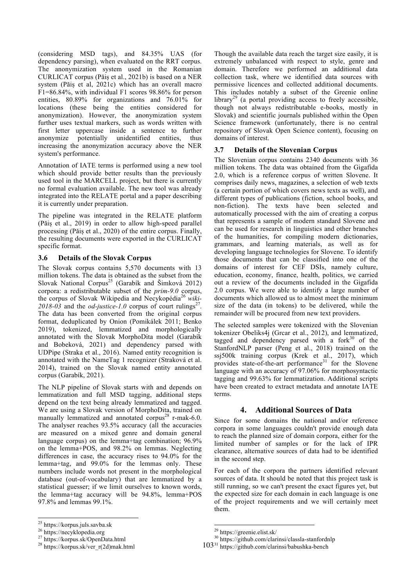(considering MSD tags), and 84.35% UAS (for dependency parsing), when evaluated on the RRT corpus. The anonymization system used in the Romanian CURLICAT corpus (Păiș et al., 2021b) is based on a NER system (Păiș et al, 2021c) which has an overall macro F1=86.84%, with individual F1 scores 98.86% for person entities, 80.89% for organizations and 76.01% for locations (these being the entities considered for anonymization). However, the anonymization system further uses textual markers, such as words written with first letter uppercase inside a sentence to further anonymize potentially unidentified entities, thus increasing the anonymization accuracy above the NER system's performance.

Annotation of IATE terms is performed using a new tool which should provide better results than the previously used tool in the MARCELL project, but there is currently no formal evaluation available. The new tool was already integrated into the RELATE portal and a paper describing it is currently under preparation.

The pipeline was integrated in the RELATE platform (Păiș et al., 2019) in order to allow high-speed parallel processing (Păiș et al., 2020) of the entire corpus. Finally, the resulting documents were exported in the CURLICAT specific format.

#### **3.6 Details of the Slovak Corpus**

The Slovak corpus contains 5,570 documents with 13 million tokens. The data is obtained as the subset from the Slovak National Corpus<sup>25</sup> (Garabík and Šimková 2012) corpora: a redistributable subset of the *prim-9.0* corpus, the corpus of Slovak Wikipedia and Necykopédia<sup>26</sup> *wiki-*2018-03 and the *od-justice-1.0* corpus of court rulings<sup>27</sup>. The data has been converted from the original corpus format, deduplicated by Onion (Pomikálek 2011; Benko 2019), tokenized, lemmatized and morphologically annotated with the Slovak MorphoDita model (Garabík and Bobeková, 2021) and dependency parsed with UDPipe (Straka et al., 2016). Named entity recognition is annotated with the NameTag 1 recognizer (Straková et al. 2014), trained on the Slovak named entity annotated corpus (Garabík, 2021).

The NLP pipeline of Slovak starts with and depends on lemmatization and full MSD tagging, additional steps depend on the text being already lemmatized and tagged. We are using a Slovak version of MorphoDita, trained on manually lemmatized and annotated corpus<sup>28</sup> r-mak-6.0. The analyser reaches 93.5% accuracy (all the accuracies are measured on a mixed genre and domain general language corpus) on the lemma+tag combination; 96.9% on the lemma+POS, and 98.2% on lemmas. Neglecting differences in case, the accuracy rises to 94.0% for the lemma+tag, and 99.0% for the lemmas only. These numbers include words not present in the morphological database (out-of-vocabulary) that are lemmatized by a statistical guesser; if we limit ourselves to known words, the lemma+tag accuracy will be 94.8%, lemma+POS 97.8% and lemmas 99.1%.

Though the available data reach the target size easily, it is extremely unbalanced with respect to style, genre and domain. Therefore we performed an additional data collection task, where we identified data sources with permissive licences and collected additional documents. This includes notably a subset of the Greenie online library<sup>29</sup> (a portal providing access to freely accessible, though not always redistributable e-books, mostly in Slovak) and scientific journals published within the Open Science framework (unfortunately, there is no central repository of Slovak Open Science content), focusing on domains of interest.

### **3.7 Details of the Slovenian Corpus**

The Slovenian corpus contains 2340 documents with 36 million tokens. The data was obtained from the Gigafida 2.0, which is a reference corpus of written Slovene. It comprises daily news, magazines, a selection of web texts (a certain portion of which covers news texts as well), and different types of publications (fiction, school books, and non-fiction). The texts have been selected and automatically processed with the aim of creating a corpus that represents a sample of modern standard Slovene and can be used for research in linguistics and other branches of the humanities, for compiling modern dictionaries, grammars, and learning materials, as well as for developing language technologies for Slovene. To identify those documents that can be classified into one of the domains of interest for CEF DSIs, namely culture, education, economy, finance, health, politics, we carried out a review of the documents included in the Gigafida 2.0 corpus. We were able to identify a large number of documents which allowed us to almost meet the minimum size of the data (in tokens) to be delivered, while the remainder will be procured from new text providers.

The selected samples were tokenized with the Slovenian tokenizer Obeliks4j (Grcar et al., 2012), and lemmatized, tagged and dependency parsed with a for $k^{30}$  of the StanfordNLP parser (Peng et al., 2018) trained on the ssj500k training corpus (Krek et al., 2017), which provides state-of-the-art performance<sup>31</sup> for the Slovene language with an accuracy of 97.06% for morphosyntactic tagging and 99.63% for lemmatization. Additional scripts have been created to extract metadata and annotate IATE terms.

#### **4. Additional Sources of Data**

Since for some domains the national and/or reference corpora in some languages couldn't provide enough data to reach the planned size of domain corpora, either for the limited number of samples or for the lack of IPR clearance, alternative sources of data had to be identified in the second step.

For each of the corpora the partners identified relevant sources of data. It should be noted that this project task is still running, so we can't present the exact figures yet, but the expected size for each domain in each language is one of the project requirements and we will certainly meet them.

<sup>&</sup>lt;sup>25</sup> https://korpus.juls.savba.sk<br><sup>26</sup> https://necyklopedia.org<br><sup>27</sup> https://korpus.sk/OpenData.html<br><sup>28</sup> https://korpus.sk/ver\_r(2d)mak.html

<sup>&</sup>lt;sup>29</sup> https://greenie.elist.sk/  $^{30}$  https://github.com/clarinsi/classla-stanfordnlp

<sup>103&</sup>lt;sup>31</sup> https://github.com/clarinsi/babushka-bench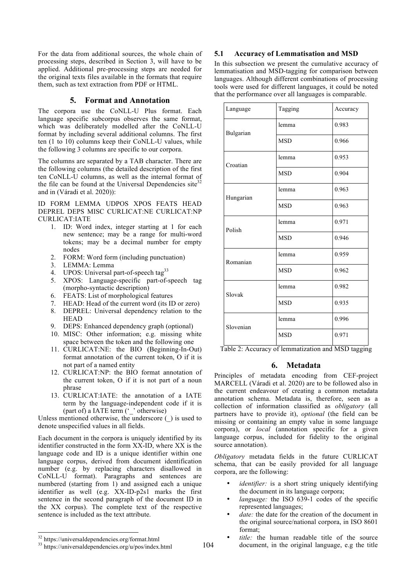For the data from additional sources, the whole chain of processing steps, described in Section 3, will have to be applied. Additional pre-processing steps are needed for the original texts files available in the formats that require them, such as text extraction from PDF or HTML.

### **5. Format and Annotation**

The corpora use the CoNLL-U Plus format. Each language specific subcorpus observes the same format, which was deliberately modelled after the CoNLL-U format by including several additional columns. The first ten (1 to 10) columns keep their CoNLL-U values, while the following 3 columns are specific to our corpora.

The columns are separated by a TAB character. There are the following columns (the detailed description of the first ten CoNLL-U columns, as well as the internal format of the file can be found at the Universal Dependencies site  $32$ and in (Váradi et al. 2020)):

ID FORM LEMMA UDPOS XPOS FEATS HEAD DEPREL DEPS MISC CURLICAT:NE CURLICAT:NP CURLICAT:IATE

- 1. ID: Word index, integer starting at 1 for each new sentence; may be a range for multi-word tokens; may be a decimal number for empty nodes
- 2. FORM: Word form (including punctuation)
- 3. LEMMA: Lemma
- 4. UPOS: Universal part-of-speech tag<sup>33</sup>
- 5. XPOS: Language-specific part-of-speech tag (morpho-syntactic description)
- 6. FEATS: List of morphological features
- 7. HEAD: Head of the current word (its ID or zero)
- 8. DEPREL: Universal dependency relation to the **HEAD**
- 9. DEPS: Enhanced dependency graph (optional)
- 10. MISC: Other information; e.g. missing white space between the token and the following one
- 11. CURLICAT:NE: the BIO (Beginning-In-Out) format annotation of the current token, O if it is not part of a named entity
- 12. CURLICAT:NP: the BIO format annotation of the current token, O if it is not part of a noun phrase
- 13. CURLICAT:IATE: the annotation of a IATE term by the language-independent code if it is (part of) a IATE term ('\_' otherwise)

Unless mentioned otherwise, the underscore  $($ ) is used to denote unspecified values in all fields.

Each document in the corpora is uniquely identified by its identifier constructed in the form XX-ID, where XX is the language code and ID is a unique identifier within one language corpus, derived from document identification number (e.g. by replacing characters disallowed in CoNLL-U format). Paragraphs and sentences are numbered (starting from 1) and assigned each a unique identifier as well (e.g. XX-ID-p2s1 marks the first sentence in the second paragraph of the document ID in the XX corpus). The complete text of the respective sentence is included as the text attribute.

#### **5.1 Accuracy of Lemmatisation and MSD**

In this subsection we present the cumulative accuracy of lemmatisation and MSD-tagging for comparison between languages. Although different combinations of processing tools were used for different languages, it could be noted that the performance over all languages is comparable.

| Language  | Tagging    | Accuracy |  |  |
|-----------|------------|----------|--|--|
| Bulgarian | lemma      | 0.983    |  |  |
|           | <b>MSD</b> | 0.966    |  |  |
| Croatian  | lemma      | 0.953    |  |  |
|           | <b>MSD</b> | 0.904    |  |  |
| Hungarian | lemma      | 0.963    |  |  |
|           | <b>MSD</b> | 0.963    |  |  |
| Polish    | lemma      | 0.971    |  |  |
|           | <b>MSD</b> | 0.946    |  |  |
| Romanian  | lemma      | 0.959    |  |  |
|           | <b>MSD</b> | 0.962    |  |  |
| Slovak    | lemma      | 0.982    |  |  |
|           | <b>MSD</b> | 0.935    |  |  |
| Slovenian | lemma      | 0.996    |  |  |
|           | <b>MSD</b> | 0.971    |  |  |

Table 2: Accuracy of lemmatization and MSD tagging

## **6. Metadata**

Principles of metadata encoding from CEF-project MARCELL (Váradi et al. 2020) are to be followed also in the current endeavour of creating a common metadata annotation schema. Metadata is, therefore, seen as a collection of information classified as *obligatory* (all partners have to provide it), *optional* (the field can be missing or containing an empty value in some language corpora), or *local* (annotation specific for a given language corpus, included for fidelity to the original source annotation).

*Obligatory* metadata fields in the future CURLICAT schema, that can be easily provided for all language corpora, are the following:

- *identifier*: is a short string uniquely identifying the document in its language corpora;
- *language:* the ISO 639-1 codes of the specific represented languages;
- date: the date for the creation of the document in the original source/national corpora, in ISO 8601 format;
- title: the human readable title of the source document, in the original language, e.g the title

 $32 \text{ https://universal dependencies.org/format.html}$ <br> $33 \text{ https://universal dependencies.org/u/pos/index.html}$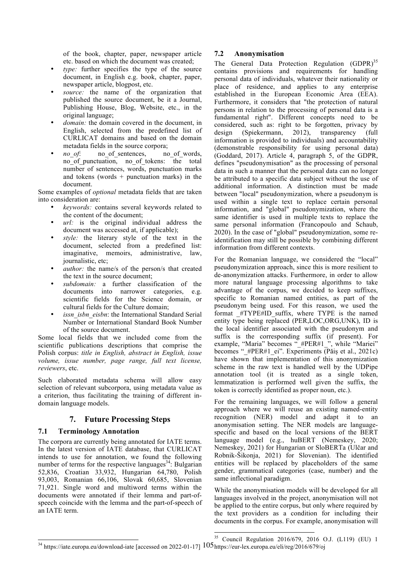of the book, chapter, paper, newspaper article etc. based on which the document was created;

- *type:* further specifies the type of the source document, in English e.g. book, chapter, paper, newspaper article, blogpost, etc.
- source: the name of the organization that published the source document, be it a Journal, Publishing House, Blog, Website, etc., in the original language;
- *domain:* the domain covered in the document, in English, selected from the predefined list of CURLICAT domains and based on the domain metadata fields in the source corpora;<br>no of: no of sentences, no of words.
- *no of*: no of sentences, no\_of\_punctuation, no\_of\_tokens: the total number of sentences, words, punctuation marks and tokens (words  $+$  punctuation marks) in the document.

Some examples of *optional* metadata fields that are taken into consideration are:

- *keywords:* contains several keywords related to the content of the document;
- *url:* is the original individual address the document was accessed at, if applicable);
- *style:* the literary style of the text in the document, selected from a predefined list: imaginative, memoirs, administrative, law, journalistic, etc;
- *author*: the name/s of the person/s that created the text in the source document;
- *subdomain:* a further classification of the documents into narrower categories, e.g. scientific fields for the Science domain, or cultural fields for the Culture domain;
- issn\_isbn\_eisbn: the International Standard Serial Number or International Standard Book Number of the source document.

Some local fields that we included come from the scientific publications descriptions that comprise the Polish corpus: *title in English, abstract in English, issue volume, issue number, page range, full text license, reviewers*, etc.

Such elaborated metadata schema will allow easy selection of relevant subcorpora, using metadata value as a criterion, thus facilitating the training of different indomain language models.

## **7. Future Processing Steps**

## **7.1 Terminology Annotation**

The corpora are currently being annotated for IATE terms. In the latest version of IATE database, that CURLICAT intends to use for annotation, we found the following number of terms for the respective languages<sup>34</sup>: Bulgarian 52,836, Croatian 33,932, Hungarian 64,780, Polish 93,003, Romanian 66,106, Slovak 60,685, Slovenian 71,921. Single word and multiword terms within the documents were annotated if their lemma and part-ofspeech coincide with the lemma and the part-of-speech of an IATE term.

### **7.2 Anonymisation**

The General Data Protection Regulation  $(GDPR)^{35}$ contains provisions and requirements for handling personal data of individuals, whatever their nationality or place of residence, and applies to any enterprise established in the European Economic Area (EEA). Furthermore, it considers that "the protection of natural persons in relation to the processing of personal data is a fundamental right". Different concepts need to be considered, such as: right to be forgotten, privacy by design (Spiekermann, 2012), transparency (full information is provided to individuals) and accountability (demonstrable responsibility for using personal data) (Goddard, 2017). Article 4, paragraph 5, of the GDPR, defines "pseudonymisation" as the processing of personal data in such a manner that the personal data can no longer be attributed to a specific data subject without the use of additional information. A distinction must be made between "local" pseudonymization, where a pseudonym is used within a single text to replace certain personal information, and "global" pseudonymization, where the same identifier is used in multiple texts to replace the same personal information (Francopoulo and Schaub, 2020). In the case of "global" pseudonymization, some reidentification may still be possible by combining different information from different contexts.

For the Romanian language, we considered the "local" pseudonymization approach, since this is more resilient to de-anonymization attacks. Furthermore, in order to allow more natural language processing algorithms to take advantage of the corpus, we decided to keep suffixes, specific to Romanian named entities, as part of the pseudonym being used. For this reason, we used the format #TYPE#ID suffix, where TYPE is the named entity type being replaced (PER,LOC,ORG,UNK), ID is the local identifier associated with the pseudonym and suffix is the corresponding suffix (if present). For example, "Maria" becomes " #PER#1 ", while "Mariei" becomes " #PER#1 ei". Experiments (Păiș et al., 2021c) have shown that implementation of this anonymization scheme in the raw text is handled well by the UDPipe annotation tool (it is treated as a single token, lemmatization is performed well given the suffix, the token is correctly identified as proper noun, etc.).

For the remaining languages, we will follow a general approach where we will reuse an existing named-entity recognition (NER) model and adapt it to an anonymisation setting. The NER models are languagespecific and based on the local versions of the BERT language model (e.g., huBERT (Nemeskey, 2020; Nemeskey, 2021) for Hungarian or SloBERTa (Ulčar and Robnik-Šikonja, 2021) for Slovenian). The identified entities will be replaced by placeholders of the same gender, grammatical categories (case, number) and the same inflectional paradigm.

While the anonymisation models will be developed for all languages involved in the project, anonymisation will not be applied to the entire corpus, but only where required by the text providers as a condition for including their documents in the corpus. For example, anonymisation will

<sup>&</sup>lt;sup>34</sup> https://iate.europa.eu/download-iate [accessed on 2022-01-17] 105 https://eur-lex.europa.eu/eli/reg/2016/679/oj<br><sup>34</sup> https://iate.europa.eu/download-iate [accessed on 2022-01-17] 105 https://eur-lex.europa.eu/eli/reg/ 35 Council Regulation 2016/679, 2016 O.J. (L119) (EU) 1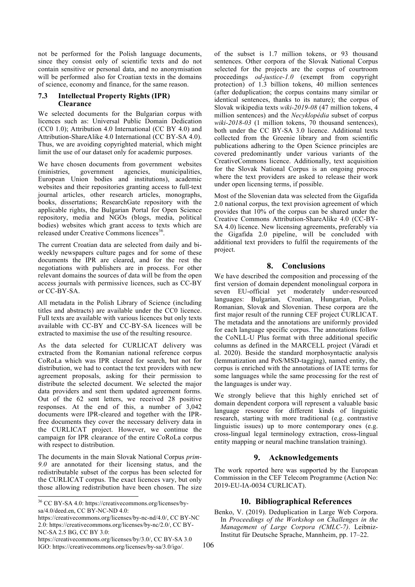not be performed for the Polish language documents, since they consist only of scientific texts and do not contain sensitive or personal data, and no anonymisation will be performed also for Croatian texts in the domains of science, economy and finance, for the same reason.

#### **7.3 Intellectual Property Rights (IPR) Clearance**

We selected documents for the Bulgarian corpus with licences such as: Universal Public Domain Dedication (CC0 1.0); Attribution 4.0 International (CC BY 4.0) and Attribution-ShareAlike 4.0 International (CC BY-SA 4.0). Thus, we are avoiding copyrighted material, which might limit the use of our dataset only for academic purposes.

We have chosen documents from government websites (ministries, government agencies, municipalities, European Union bodies and institutions), academic websites and their repositories granting access to full-text journal articles, other research articles, monographs, books, dissertations; ResearchGate repository with the applicable rights, the Bulgarian Portal for Open Science repository, media and NGOs (blogs, media, political bodies) websites which grant access to texts which are released under Creative Commons licences<sup>36</sup>.

The current Croatian data are selected from daily and biweekly newspapers culture pages and for some of these documents the IPR are cleared, and for the rest the negotiations with publishers are in process. For other relevant domains the sources of data will be from the open access journals with permissive licences, such as CC-BY or CC-BY-SA.

All metadata in the Polish Library of Science (including titles and abstracts) are available under the CC0 licence. Full texts are available with various licences but only texts available with CC-BY and CC-BY-SA licences will be extracted to maximise the use of the resulting resource.

As the data selected for CURLICAT delivery was extracted from the Romanian national reference corpus CoRoLa which was IPR cleared for search, but not for distribution, we had to contact the text providers with new agreement proposals, asking for their permission to distribute the selected document. We selected the major data providers and sent them updated agreement forms. Out of the 62 sent letters, we received 28 positive responses. At the end of this, a number of 3,042 documents were IPR-cleared and together with the IPRfree documents they cover the necessary delivery data in the CURLICAT project. However, we continue the campaign for IPR clearance of the entire CoRoLa corpus with respect to distribution.

The documents in the main Slovak National Corpus *prim-9.0* are annotated for their licensing status, and the redistributable subset of the corpus has been selected for the CURLICAT corpus. The exact licences vary, but only those allowing redistribution have been chosen. The size

https://creativecommons.org/licenses/by-nc-nd/4.0/, CC BY-NC 2.0: https://creativecommons.org/licenses/by-nc/2.0/, CC BY-NC-SA 2.5 BG, CC BY 3.0:

of the subset is 1.7 million tokens, or 93 thousand sentences. Other corpora of the Slovak National Corpus selected for the projects are the corpus of courtroom proceedings *od-justice-1.0* (exempt from copyright protection) of 1.3 billion tokens, 40 million sentences (after deduplication; the corpus contains many similar or identical sentences, thanks to its nature); the corpus of Slovak wikipedia texts *wiki-2019-08* (47 million tokens, 4 million sentences) and the *Necyklopédia* subset of corpus *wiki-2018-03* (1 million tokens, 70 thousand sentences), both under the CC BY-SA 3.0 licence. Additional texts collected from the Greenie library and from scientific publications adhering to the Open Science principles are covered predominantly under various variants of the CreativeCommons licence. Additionally, text acquisition for the Slovak National Corpus is an ongoing process where the text providers are asked to release their work under open licensing terms, if possible.

Most of the Slovenian data was selected from the Gigafida 2.0 national corpus, the text provision agreement of which provides that 10% of the corpus can be shared under the Creative Commons Attribution-ShareAlike 4.0 (CC-BY-SA 4.0) licence. New licensing agreements, preferably via the Gigafida 2.0 pipeline, will be concluded with additional text providers to fulfil the requirements of the project.

## **8. Conclusions**

We have described the composition and processing of the first version of domain dependent monolingual corpora in seven EU-official yet moderately under-resourced languages: Bulgarian, Croatian, Hungarian, Polish, Romanian, Slovak and Slovenian. These corpora are the first major result of the running CEF project CURLICAT. The metadata and the annotations are uniformly provided for each language specific corpus. The annotations follow the CoNLL-U Plus format with three additional specific columns as defined in the MARCELL project (Váradi et al. 2020). Beside the standard morphosyntactic analysis (lemmatization and PoS/MSD-tagging), named entity, the corpus is enriched with the annotations of IATE terms for some languages while the same processing for the rest of the languages is under way.

We strongly believe that this highly enriched set of domain dependent corpora will represent a valuable basic language resource for different kinds of linguistic research, starting with more traditional (e.g. contrastive linguistic issues) up to more contemporary ones (e.g. cross-lingual legal terminology extraction, cross-lingual entity mapping or neural machine translation training).

## **9. Acknowledgements**

The work reported here was supported by the European Commission in the CEF Telecom Programme (Action No: 2019-EU-IA-0034 CURLICAT).

## **10. Bibliographical References**

Benko, V. (2019). Deduplication in Large Web Corpora. In *Proceedings of the Workshop on Challenges in the Management of Large Corpora (CMLC-7)*. Leibniz-Institut für Deutsche Sprache, Mannheim, pp. 17–22.

 <sup>36</sup> CC BY-SA 4.0: https://creativecommons.org/licenses/bysa/4.0/deed.en, CC BY-NC-ND 4.0:

https://creativecommons.org/licenses/by/3.0/, CC BY-SA 3.0 IGO: https://creativecommons.org/licenses/by-sa/3.0/igo/.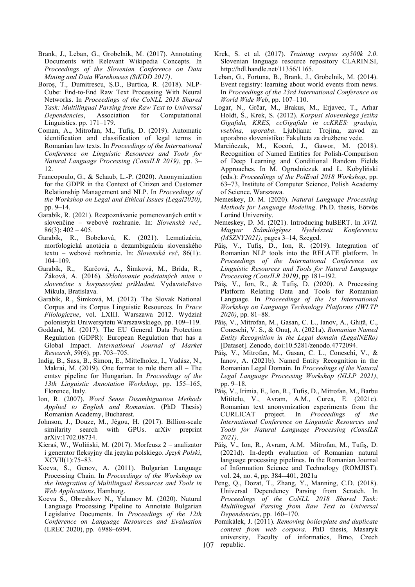- Brank, J., Leban, G., Grobelnik, M. (2017). Annotating Documents with Relevant Wikipedia Concepts. In *Proceedings of the Slovenian Conference on Data Mining and Data Warehouses (SiKDD 2017)*.
- Boroș, T., Dumitrescu, Ș.D., Burtica, R. (2018). NLP-Cube: End-to-End Raw Text Processing With Neural Networks. In *Proceedings of the CoNLL 2018 Shared Task: Multilingual Parsing from Raw Text to Universal Dependencies*, Association for Computational Linguistics. pp. 171–179.
- Coman, A., Mitrofan, M., Tufiș, D. (2019). Automatic identification and classification of legal terms in Romanian law texts. In *Proceedings of the International Conference on Linguistic Resources and Tools for Natural Language Processing (ConsILR 2019)*, pp. 3– 12.
- Francopoulo, G., & Schaub, L.-P. (2020). Anonymization for the GDPR in the Context of Citizen and Customer Relationship Management and NLP. In *Proceedings of the Workshop on Legal and Ethical Issues (Legal2020)*, pp. 9–14.
- Garabík, R. (2021). Rozpoznávanie pomenovaných entít v slovenčine – webové rozhranie. In: *Slovenská reč*,.  $86(3)$ :  $402 - 405$ .
- Garabík, R., Bobeková, K. (2021). Lematizácia, morfologická anotácia a dezambiguácia slovenského textu – webové rozhranie. In: *Slovenská reč*, 86(1):. 104–109.
- Garabík, R., Karčová, A., Šimková, M., Brída, R., Žáková, A. (2016). *Skloňovanie podstatných mien v slovenčine s korpusovými príkladmi*. Vydavateľstvo Mikula, Bratislava.
- Garabík, R., Šimková, M. (2012). The Slovak National Corpus and its Corpus Linguistic Resources. In *Prace Filologiczne*, vol. LXIII. Warszawa 2012. Wydział polonistyki Uniwersytetu Warszawskiego, pp. 109–119.
- Goddard, M. (2017). The EU General Data Protection Regulation (GDPR): European Regulation that has a Global Impact. *International Journal of Market Research*, 59(6), pp. 703–705.
- Indig, B., Sass, B., Simon, E., Mittelholcz, I., Vadász, N., Makrai, M. (2019). One format to rule them all – The emtsv pipeline for Hungarian. In *Proceedings of the 13th Linguistic Annotation Workshop*, pp. 155–165, Florence, Italy.
- Ion, R. (2007). *Word Sense Disambiguation Methods Applied to English and Romanian*. (PhD Thesis) Romanian Academy, Bucharest.
- Johnson, J., Douze, M., Jégou, H. (2017). Billion-scale similarity search with GPUs. arXiv preprint arXiv:1702.08734.
- Kieraś, W., Woliński, M. (2017). Morfeusz 2 analizator i generator fleksyjny dla języka polskiego. *Język Polski*, XCVII(1):75–83.
- Koeva, S., Genov, A. (2011). Bulgarian Language Processing Chain. In *Proceedings of the Workshop on the Integration of Multilingual Resources and Tools in Web Applications*, Hamburg.
- Koeva S., Obreshkov N., Yalamov M. (2020). Natural Language Processing Pipeline to Annotate Bulgarian Legislative Documents. In *Proceedings of the 12th Conference on Language Resources and Evaluation* (LREC 2020), pp. 6988–6994.
- Krek, S. et al. (2017). *Training corpus ssj500k 2.0*. Slovenian language resource repository CLARIN.SI, http://hdl.handle.net/11356/1165.
- Leban, G., Fortuna, B., Brank, J., Grobelnik, M. (2014). Event registry: learning about world events from news. In *Proceedings of the 23rd International Conference on World Wide Web*, pp. 107–110.
- Logar, N., Grčar, M., Brakus, M., Erjavec, T., Arhar Holdt, Š., Krek, S. (2012). *Korpusi slovenskega jezika Gigafida, KRES, ccGigafida in ccKRES: gradnja, vsebina, uporaba*. Ljubljana: Trojina, zavod za uporabno slovenistiko: Fakulteta za družbene vede.
- Marcińczuk, M., Kocoń, J., Gawor, M. (2018). Recognition of Named Entities for Polish-Comparison of Deep Learning and Conditional Random Fields Approaches. In M. Ogrodniczuk and Ł. Kobyliński (eds.): *Proceedings of the PolEval 2018 Workshop*, pp. 63–73, Institute of Computer Science, Polish Academy of Science, Warszawa.
- Nemeskey, D. M. (2020). *Natural Language Processing Methods for Language Modeling*. Ph.D. thesis, Eötvös Loránd University.
- Nemeskey, D. M. (2021). Introducing huBERT. In *XVII. Magyar Számítógépes Nyelvészeti Konferencia (MSZNY2021)*, pages 3–14, Szeged.
- Păiș, V., Tufiș, D., Ion, R. (2019). Integration of Romanian NLP tools into the RELATE platform. In *Proceedings of the International Conference on Linguistic Resources and Tools for Natural Language Processing (ConsILR 2019)*, pp 181–192.
- Păiș, V., Ion, R., & Tufiș, D. (2020). A Processing Platform Relating Data and Tools for Romanian Language. In *Proceedings of the 1st International Workshop on Language Technology Platforms (IWLTP 2020)*, pp. 81–88.
- Păiș, V., Mitrofan, M., Gasan, C. L., Ianov, A., Ghiță, C., Coneschi, V. S., & Onuț, A. (2021a). *Romanian Named Entity Recognition in the Legal domain (LegalNERo)* [Dataset]. Zenodo, doi:10.5281/zenodo.4772094.
- Păiș, V., Mitrofan, M., Gasan, C. L., Coneschi, V., & Ianov, A. (2021b). Named Entity Recognition in the Romanian Legal Domain. In *Proceedings of the Natural Legal Language Processing Workshop (NLLP 2021)*, pp. 9–18.
- Păiș, V., Irimia, E., Ion, R., Tufiș, D., Mitrofan, M., Barbu Mititelu, V., Avram, A.M., Curea, E. (2021c). Romanian text anonymization experiments from the CURLICAT project. In *Proceedings of the International Conference on Linguistic Resources and Tools for Natural Language Processing (ConsILR 2021)*.
- Păiș, V., Ion, R., Avram, A.M, Mitrofan, M., Tufiș, D. (2021d). In-depth evaluation of Romanian natural language processing pipelines. In the Romanian Journal of Information Science and Technology (ROMJIST). vol. 24, no. 4, pp. 384--401, 2021a
- Peng, Q., Dozat, T., Zhang, Y., Manning, C.D. (2018). Universal Dependency Parsing from Scratch. In *Proceedings of the CoNLL 2018 Shared Task: Multilingual Parsing from Raw Text to Universal Dependencies*, pp. 160–170.
- 107 republic.Pomikálek, J. (2011). *Removing boilerplate and duplicate content from web corpora*. PhD thesis, Masaryk university, Faculty of informatics, Brno, Czech